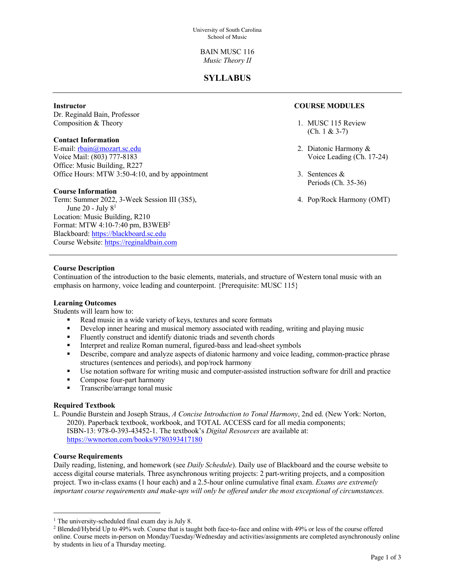BAIN MUSC 116 *Music Theory II*

## **SYLLABUS**

#### **Instructor**

Dr. Reginald Bain, Professor Composition & Theory

### **Contact Information**

E-mail: rbain@mozart.sc.edu Voice Mail: (803) 777-8183 Office: Music Building, R227 Office Hours: MTW 3:50-4:10, and by appointment

#### **Course Information**

Term: Summer 2022, 3-Week Session III (3S5), June 20 - July  $8<sup>1</sup>$ Location: Music Building, R210 Format: MTW 4:10-7:40 pm, B3WEB2 Blackboard: https://blackboard.sc.edu Course Website: https://reginaldbain.com

## **COURSE MODULES**

- 1. MUSC 115 Review (Ch. 1 & 3-7)
- 2. Diatonic Harmony & Voice Leading (Ch. 17-24)
- 3. Sentences & Periods (Ch. 35-36)
- 4. Pop/Rock Harmony (OMT)

## **Course Description**

Continuation of the introduction to the basic elements, materials, and structure of Western tonal music with an emphasis on harmony, voice leading and counterpoint. {Prerequisite: MUSC 115}

#### **Learning Outcomes**

Students will learn how to:

- § Read music in a wide variety of keys, textures and score formats
- Develop inner hearing and musical memory associated with reading, writing and playing music
- Fluently construct and identify diatonic triads and seventh chords
- § Interpret and realize Roman numeral, figured-bass and lead-sheet symbols
- Describe, compare and analyze aspects of diatonic harmony and voice leading, common-practice phrase structures (sentences and periods), and pop/rock harmony
- Use notation software for writing music and computer-assisted instruction software for drill and practice
- Compose four-part harmony
- § Transcribe/arrange tonal music

## **Required Textbook**

L. Poundie Burstein and Joseph Straus, *A Concise Introduction to Tonal Harmony*, 2nd ed. (New York: Norton, 2020). Paperback textbook, workbook, and TOTAL ACCESS card for all media components; ISBN-13: 978-0-393-43452-1. The textbook's *Digital Resources* are available at: https://wwnorton.com/books/9780393417180

#### **Course Requirements**

Daily reading, listening, and homework (see *Daily Schedule*). Daily use of Blackboard and the course website to access digital course materials. Three asynchronous writing projects: 2 part-writing projects, and a composition project. Two in-class exams (1 hour each) and a 2.5-hour online cumulative final exam. *Exams are extremely important course requirements and make-ups will only be offered under the most exceptional of circumstances.*

<sup>&</sup>lt;sup>1</sup> The university-scheduled final exam day is July 8.

<sup>2</sup> Blended/Hybrid Up to 49% web. Course that is taught both face-to-face and online with 49% or less of the course offered online. Course meets in-person on Monday/Tuesday/Wednesday and activities/assignments are completed asynchronously online by students in lieu of a Thursday meeting.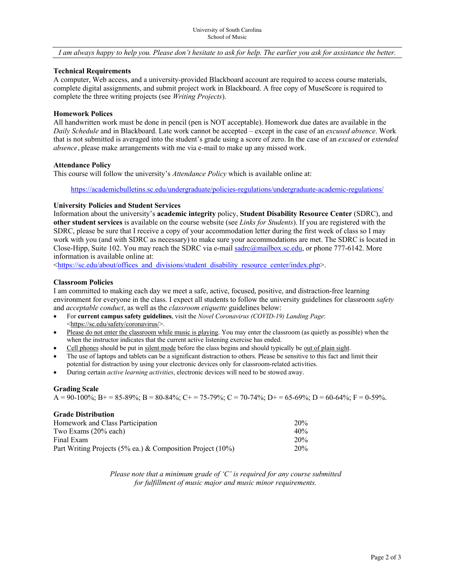#### *I am always happy to help you. Please don't hesitate to ask for help. The earlier you ask for assistance the better.*

#### **Technical Requirements**

A computer, Web access, and a university-provided Blackboard account are required to access course materials, complete digital assignments, and submit project work in Blackboard. A free copy of MuseScore is required to complete the three writing projects (see *Writing Projects*).

#### **Homework Polices**

All handwritten work must be done in pencil (pen is NOT acceptable). Homework due dates are available in the *Daily Schedule* and in Blackboard. Late work cannot be accepted – except in the case of an *excused absence*. Work that is not submitted is averaged into the student's grade using a score of zero. In the case of an *excused* or *extended absence*, please make arrangements with me via e-mail to make up any missed work.

#### **Attendance Policy**

This course will follow the university's *Attendance Policy* which is available online at:

https://academicbulletins.sc.edu/undergraduate/policies-regulations/undergraduate-academic-regulations/

#### **University Policies and Student Services**

Information about the university's **academic integrity** policy, **Student Disability Resource Center** (SDRC), and **other student services** is available on the course website (see *Links for Students*). If you are registered with the SDRC, please be sure that I receive a copy of your accommodation letter during the first week of class so I may work with you (and with SDRC as necessary) to make sure your accommodations are met. The SDRC is located in Close-Hipp, Suite 102. You may reach the SDRC via e-mail sadrc@mailbox.sc.edu, or phone 777-6142. More information is available online at:

<https://sc.edu/about/offices\_and\_divisions/student\_disability\_resource\_center/index.php>.

#### **Classroom Policies**

I am committed to making each day we meet a safe, active, focused, positive, and distraction-free learning environment for everyone in the class. I expect all students to follow the university guidelines for classroom *safety* and *acceptable conduct*, as well as the *classroom etiquette* guidelines below:

- For **current campus safety guidelines**, visit the *Novel Coronavirus (COVID-19) Landing Page*: <https://sc.edu/safety/coronavirus/>.
- Please do not enter the classroom while music is playing. You may enter the classroom (as quietly as possible) when the when the instructor indicates that the current active listening exercise has ended.
- Cell phones should be put in silent mode before the class begins and should typically be out of plain sight.
- The use of laptops and tablets can be a significant distraction to others. Please be sensitive to this fact and limit their potential for distraction by using your electronic devices only for classroom-related activities.
- During certain *active learning activities*, electronic devices will need to be stowed away.

#### **Grading Scale**

 $A = 90-100\%$ ;  $B = 85-89\%$ ;  $B = 80-84\%$ ;  $C = 75-79\%$ ;  $C = 70-74\%$ ;  $D = 65-69\%$ ;  $D = 60-64\%$ ;  $F = 0.59\%$ .

## **Grade Distribution**

| Homework and Class Participation                           | 20% |  |
|------------------------------------------------------------|-----|--|
| Two Exams (20% each)                                       | 40% |  |
| Final Exam                                                 | 20% |  |
| Part Writing Projects (5% ea.) & Composition Project (10%) | 20% |  |

*Please note that a minimum grade of 'C' is required for any course submitted for fulfillment of music major and music minor requirements.*